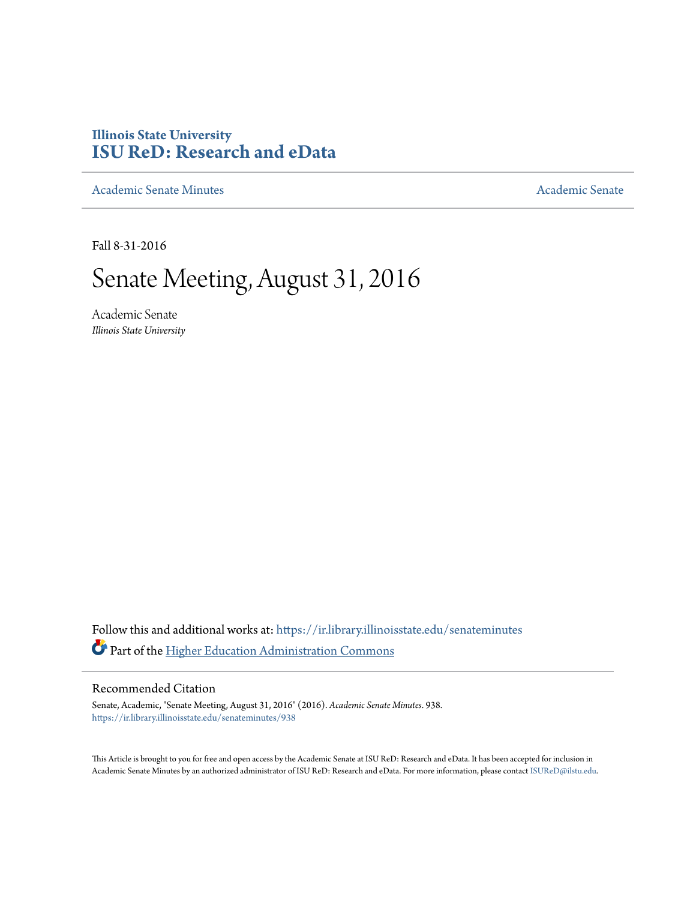## **Illinois State University [ISU ReD: Research and eData](https://ir.library.illinoisstate.edu?utm_source=ir.library.illinoisstate.edu%2Fsenateminutes%2F938&utm_medium=PDF&utm_campaign=PDFCoverPages)**

[Academic Senate Minutes](https://ir.library.illinoisstate.edu/senateminutes?utm_source=ir.library.illinoisstate.edu%2Fsenateminutes%2F938&utm_medium=PDF&utm_campaign=PDFCoverPages) [Academic Senate](https://ir.library.illinoisstate.edu/senate?utm_source=ir.library.illinoisstate.edu%2Fsenateminutes%2F938&utm_medium=PDF&utm_campaign=PDFCoverPages) Academic Senate

Fall 8-31-2016

# Senate Meeting, August 31, 2016

Academic Senate *Illinois State University*

Follow this and additional works at: [https://ir.library.illinoisstate.edu/senateminutes](https://ir.library.illinoisstate.edu/senateminutes?utm_source=ir.library.illinoisstate.edu%2Fsenateminutes%2F938&utm_medium=PDF&utm_campaign=PDFCoverPages) Part of the [Higher Education Administration Commons](http://network.bepress.com/hgg/discipline/791?utm_source=ir.library.illinoisstate.edu%2Fsenateminutes%2F938&utm_medium=PDF&utm_campaign=PDFCoverPages)

#### Recommended Citation

Senate, Academic, "Senate Meeting, August 31, 2016" (2016). *Academic Senate Minutes*. 938. [https://ir.library.illinoisstate.edu/senateminutes/938](https://ir.library.illinoisstate.edu/senateminutes/938?utm_source=ir.library.illinoisstate.edu%2Fsenateminutes%2F938&utm_medium=PDF&utm_campaign=PDFCoverPages)

This Article is brought to you for free and open access by the Academic Senate at ISU ReD: Research and eData. It has been accepted for inclusion in Academic Senate Minutes by an authorized administrator of ISU ReD: Research and eData. For more information, please contact [ISUReD@ilstu.edu.](mailto:ISUReD@ilstu.edu)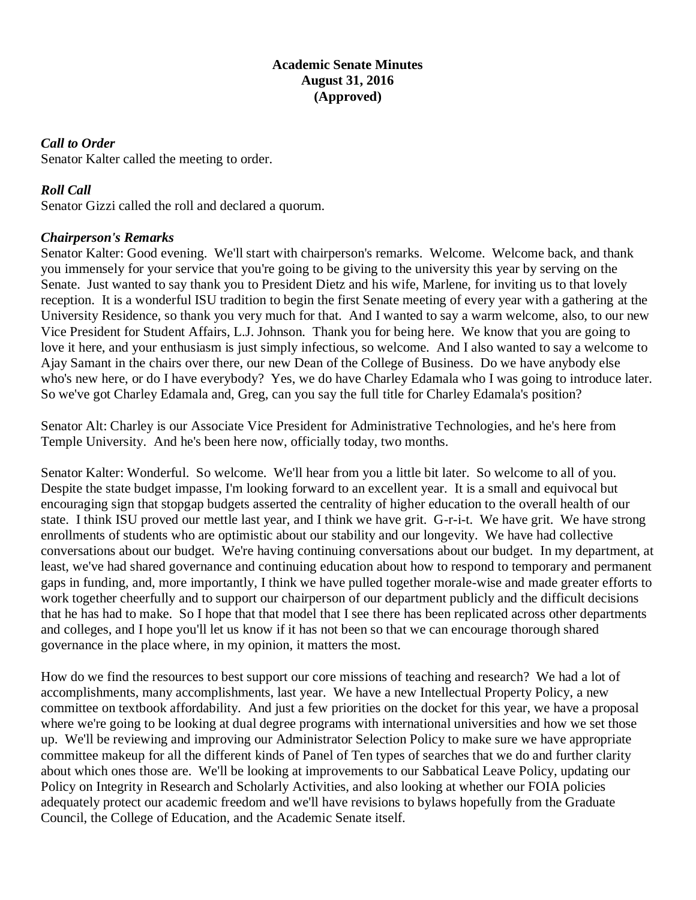#### **Academic Senate Minutes August 31, 2016 (Approved)**

#### *Call to Order*

Senator Kalter called the meeting to order.

#### *Roll Call*

Senator Gizzi called the roll and declared a quorum.

#### *Chairperson's Remarks*

Senator Kalter: Good evening. We'll start with chairperson's remarks. Welcome. Welcome back, and thank you immensely for your service that you're going to be giving to the university this year by serving on the Senate. Just wanted to say thank you to President Dietz and his wife, Marlene, for inviting us to that lovely reception. It is a wonderful ISU tradition to begin the first Senate meeting of every year with a gathering at the University Residence, so thank you very much for that. And I wanted to say a warm welcome, also, to our new Vice President for Student Affairs, L.J. Johnson. Thank you for being here. We know that you are going to love it here, and your enthusiasm is just simply infectious, so welcome. And I also wanted to say a welcome to Ajay Samant in the chairs over there, our new Dean of the College of Business. Do we have anybody else who's new here, or do I have everybody? Yes, we do have Charley Edamala who I was going to introduce later. So we've got Charley Edamala and, Greg, can you say the full title for Charley Edamala's position?

Senator Alt: Charley is our Associate Vice President for Administrative Technologies, and he's here from Temple University. And he's been here now, officially today, two months.

Senator Kalter: Wonderful. So welcome. We'll hear from you a little bit later. So welcome to all of you. Despite the state budget impasse, I'm looking forward to an excellent year. It is a small and equivocal but encouraging sign that stopgap budgets asserted the centrality of higher education to the overall health of our state. I think ISU proved our mettle last year, and I think we have grit. G-r-i-t. We have grit. We have strong enrollments of students who are optimistic about our stability and our longevity. We have had collective conversations about our budget. We're having continuing conversations about our budget. In my department, at least, we've had shared governance and continuing education about how to respond to temporary and permanent gaps in funding, and, more importantly, I think we have pulled together morale-wise and made greater efforts to work together cheerfully and to support our chairperson of our department publicly and the difficult decisions that he has had to make. So I hope that that model that I see there has been replicated across other departments and colleges, and I hope you'll let us know if it has not been so that we can encourage thorough shared governance in the place where, in my opinion, it matters the most.

How do we find the resources to best support our core missions of teaching and research? We had a lot of accomplishments, many accomplishments, last year. We have a new Intellectual Property Policy, a new committee on textbook affordability. And just a few priorities on the docket for this year, we have a proposal where we're going to be looking at dual degree programs with international universities and how we set those up. We'll be reviewing and improving our Administrator Selection Policy to make sure we have appropriate committee makeup for all the different kinds of Panel of Ten types of searches that we do and further clarity about which ones those are. We'll be looking at improvements to our Sabbatical Leave Policy, updating our Policy on Integrity in Research and Scholarly Activities, and also looking at whether our FOIA policies adequately protect our academic freedom and we'll have revisions to bylaws hopefully from the Graduate Council, the College of Education, and the Academic Senate itself.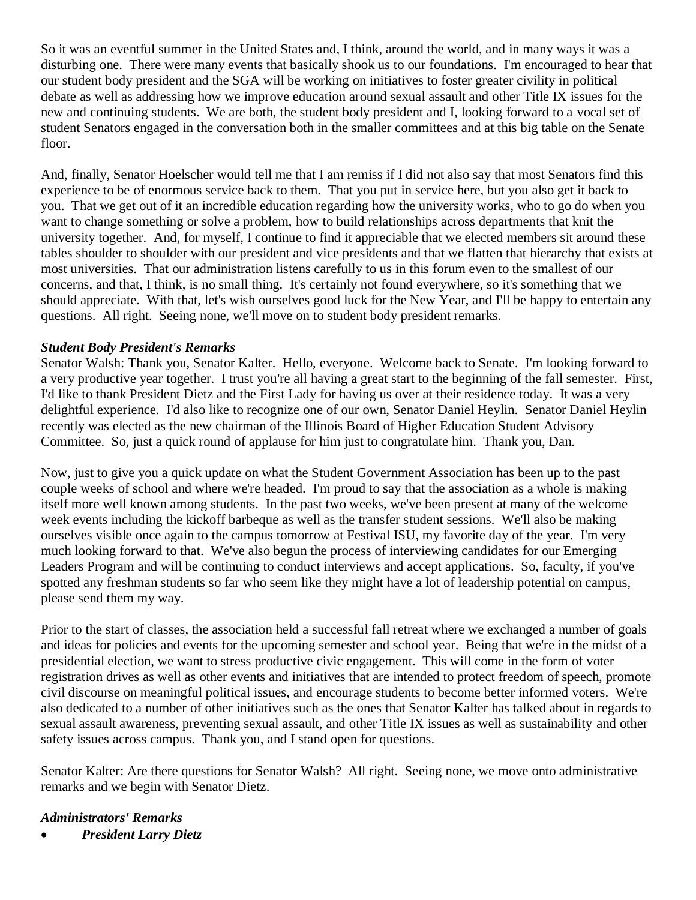So it was an eventful summer in the United States and, I think, around the world, and in many ways it was a disturbing one. There were many events that basically shook us to our foundations. I'm encouraged to hear that our student body president and the SGA will be working on initiatives to foster greater civility in political debate as well as addressing how we improve education around sexual assault and other Title IX issues for the new and continuing students. We are both, the student body president and I, looking forward to a vocal set of student Senators engaged in the conversation both in the smaller committees and at this big table on the Senate floor.

And, finally, Senator Hoelscher would tell me that I am remiss if I did not also say that most Senators find this experience to be of enormous service back to them. That you put in service here, but you also get it back to you. That we get out of it an incredible education regarding how the university works, who to go do when you want to change something or solve a problem, how to build relationships across departments that knit the university together. And, for myself, I continue to find it appreciable that we elected members sit around these tables shoulder to shoulder with our president and vice presidents and that we flatten that hierarchy that exists at most universities. That our administration listens carefully to us in this forum even to the smallest of our concerns, and that, I think, is no small thing. It's certainly not found everywhere, so it's something that we should appreciate. With that, let's wish ourselves good luck for the New Year, and I'll be happy to entertain any questions. All right. Seeing none, we'll move on to student body president remarks.

#### *Student Body President's Remarks*

Senator Walsh: Thank you, Senator Kalter. Hello, everyone. Welcome back to Senate. I'm looking forward to a very productive year together. I trust you're all having a great start to the beginning of the fall semester. First, I'd like to thank President Dietz and the First Lady for having us over at their residence today. It was a very delightful experience. I'd also like to recognize one of our own, Senator Daniel Heylin. Senator Daniel Heylin recently was elected as the new chairman of the Illinois Board of Higher Education Student Advisory Committee. So, just a quick round of applause for him just to congratulate him. Thank you, Dan.

Now, just to give you a quick update on what the Student Government Association has been up to the past couple weeks of school and where we're headed. I'm proud to say that the association as a whole is making itself more well known among students. In the past two weeks, we've been present at many of the welcome week events including the kickoff barbeque as well as the transfer student sessions. We'll also be making ourselves visible once again to the campus tomorrow at Festival ISU, my favorite day of the year. I'm very much looking forward to that. We've also begun the process of interviewing candidates for our Emerging Leaders Program and will be continuing to conduct interviews and accept applications. So, faculty, if you've spotted any freshman students so far who seem like they might have a lot of leadership potential on campus, please send them my way.

Prior to the start of classes, the association held a successful fall retreat where we exchanged a number of goals and ideas for policies and events for the upcoming semester and school year. Being that we're in the midst of a presidential election, we want to stress productive civic engagement. This will come in the form of voter registration drives as well as other events and initiatives that are intended to protect freedom of speech, promote civil discourse on meaningful political issues, and encourage students to become better informed voters. We're also dedicated to a number of other initiatives such as the ones that Senator Kalter has talked about in regards to sexual assault awareness, preventing sexual assault, and other Title IX issues as well as sustainability and other safety issues across campus. Thank you, and I stand open for questions.

Senator Kalter: Are there questions for Senator Walsh? All right. Seeing none, we move onto administrative remarks and we begin with Senator Dietz.

#### *Administrators' Remarks*

• *President Larry Dietz*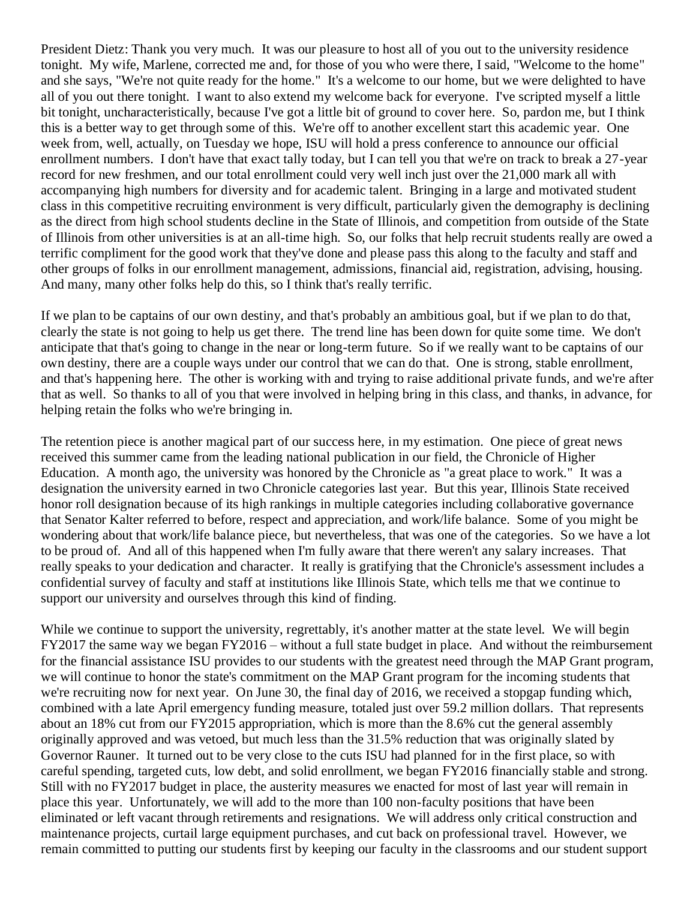President Dietz: Thank you very much. It was our pleasure to host all of you out to the university residence tonight. My wife, Marlene, corrected me and, for those of you who were there, I said, "Welcome to the home" and she says, "We're not quite ready for the home." It's a welcome to our home, but we were delighted to have all of you out there tonight. I want to also extend my welcome back for everyone. I've scripted myself a little bit tonight, uncharacteristically, because I've got a little bit of ground to cover here. So, pardon me, but I think this is a better way to get through some of this. We're off to another excellent start this academic year. One week from, well, actually, on Tuesday we hope, ISU will hold a press conference to announce our official enrollment numbers. I don't have that exact tally today, but I can tell you that we're on track to break a 27-year record for new freshmen, and our total enrollment could very well inch just over the 21,000 mark all with accompanying high numbers for diversity and for academic talent. Bringing in a large and motivated student class in this competitive recruiting environment is very difficult, particularly given the demography is declining as the direct from high school students decline in the State of Illinois, and competition from outside of the State of Illinois from other universities is at an all-time high. So, our folks that help recruit students really are owed a terrific compliment for the good work that they've done and please pass this along to the faculty and staff and other groups of folks in our enrollment management, admissions, financial aid, registration, advising, housing. And many, many other folks help do this, so I think that's really terrific.

If we plan to be captains of our own destiny, and that's probably an ambitious goal, but if we plan to do that, clearly the state is not going to help us get there. The trend line has been down for quite some time. We don't anticipate that that's going to change in the near or long-term future. So if we really want to be captains of our own destiny, there are a couple ways under our control that we can do that. One is strong, stable enrollment, and that's happening here. The other is working with and trying to raise additional private funds, and we're after that as well. So thanks to all of you that were involved in helping bring in this class, and thanks, in advance, for helping retain the folks who we're bringing in.

The retention piece is another magical part of our success here, in my estimation. One piece of great news received this summer came from the leading national publication in our field, the Chronicle of Higher Education. A month ago, the university was honored by the Chronicle as "a great place to work." It was a designation the university earned in two Chronicle categories last year. But this year, Illinois State received honor roll designation because of its high rankings in multiple categories including collaborative governance that Senator Kalter referred to before, respect and appreciation, and work/life balance. Some of you might be wondering about that work/life balance piece, but nevertheless, that was one of the categories. So we have a lot to be proud of. And all of this happened when I'm fully aware that there weren't any salary increases. That really speaks to your dedication and character. It really is gratifying that the Chronicle's assessment includes a confidential survey of faculty and staff at institutions like Illinois State, which tells me that we continue to support our university and ourselves through this kind of finding.

While we continue to support the university, regrettably, it's another matter at the state level. We will begin FY2017 the same way we began FY2016 – without a full state budget in place. And without the reimbursement for the financial assistance ISU provides to our students with the greatest need through the MAP Grant program, we will continue to honor the state's commitment on the MAP Grant program for the incoming students that we're recruiting now for next year. On June 30, the final day of 2016, we received a stopgap funding which, combined with a late April emergency funding measure, totaled just over 59.2 million dollars. That represents about an 18% cut from our FY2015 appropriation, which is more than the 8.6% cut the general assembly originally approved and was vetoed, but much less than the 31.5% reduction that was originally slated by Governor Rauner. It turned out to be very close to the cuts ISU had planned for in the first place, so with careful spending, targeted cuts, low debt, and solid enrollment, we began FY2016 financially stable and strong. Still with no FY2017 budget in place, the austerity measures we enacted for most of last year will remain in place this year. Unfortunately, we will add to the more than 100 non-faculty positions that have been eliminated or left vacant through retirements and resignations. We will address only critical construction and maintenance projects, curtail large equipment purchases, and cut back on professional travel. However, we remain committed to putting our students first by keeping our faculty in the classrooms and our student support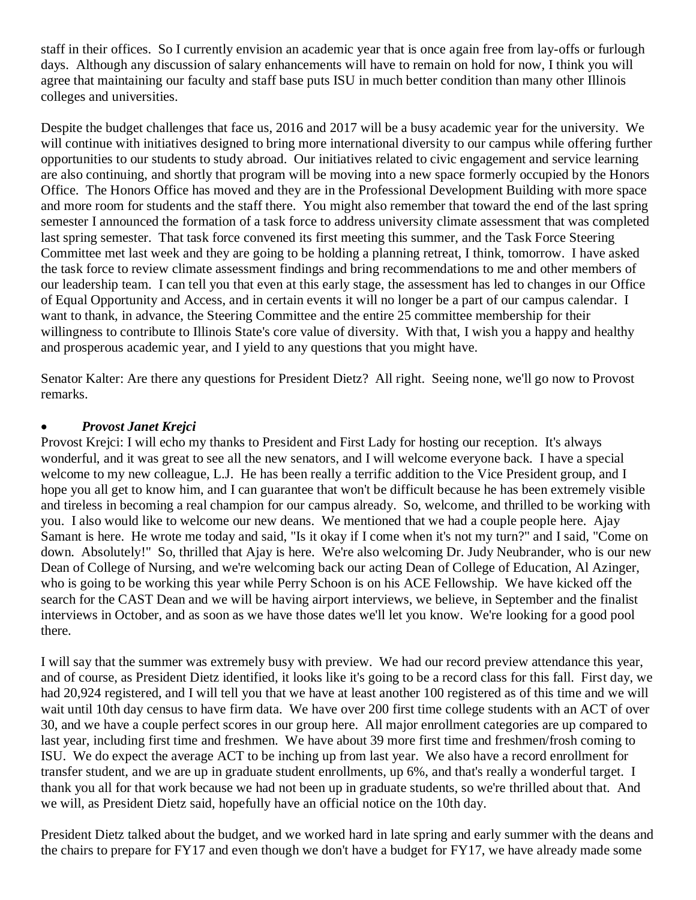staff in their offices. So I currently envision an academic year that is once again free from lay-offs or furlough days. Although any discussion of salary enhancements will have to remain on hold for now, I think you will agree that maintaining our faculty and staff base puts ISU in much better condition than many other Illinois colleges and universities.

Despite the budget challenges that face us, 2016 and 2017 will be a busy academic year for the university. We will continue with initiatives designed to bring more international diversity to our campus while offering further opportunities to our students to study abroad. Our initiatives related to civic engagement and service learning are also continuing, and shortly that program will be moving into a new space formerly occupied by the Honors Office. The Honors Office has moved and they are in the Professional Development Building with more space and more room for students and the staff there. You might also remember that toward the end of the last spring semester I announced the formation of a task force to address university climate assessment that was completed last spring semester. That task force convened its first meeting this summer, and the Task Force Steering Committee met last week and they are going to be holding a planning retreat, I think, tomorrow. I have asked the task force to review climate assessment findings and bring recommendations to me and other members of our leadership team. I can tell you that even at this early stage, the assessment has led to changes in our Office of Equal Opportunity and Access, and in certain events it will no longer be a part of our campus calendar. I want to thank, in advance, the Steering Committee and the entire 25 committee membership for their willingness to contribute to Illinois State's core value of diversity. With that, I wish you a happy and healthy and prosperous academic year, and I yield to any questions that you might have.

Senator Kalter: Are there any questions for President Dietz? All right. Seeing none, we'll go now to Provost remarks.

#### • *Provost Janet Krejci*

Provost Krejci: I will echo my thanks to President and First Lady for hosting our reception. It's always wonderful, and it was great to see all the new senators, and I will welcome everyone back. I have a special welcome to my new colleague, L.J. He has been really a terrific addition to the Vice President group, and I hope you all get to know him, and I can guarantee that won't be difficult because he has been extremely visible and tireless in becoming a real champion for our campus already. So, welcome, and thrilled to be working with you. I also would like to welcome our new deans. We mentioned that we had a couple people here. Ajay Samant is here. He wrote me today and said, "Is it okay if I come when it's not my turn?" and I said, "Come on down. Absolutely!" So, thrilled that Ajay is here. We're also welcoming Dr. Judy Neubrander, who is our new Dean of College of Nursing, and we're welcoming back our acting Dean of College of Education, Al Azinger, who is going to be working this year while Perry Schoon is on his ACE Fellowship. We have kicked off the search for the CAST Dean and we will be having airport interviews, we believe, in September and the finalist interviews in October, and as soon as we have those dates we'll let you know. We're looking for a good pool there.

I will say that the summer was extremely busy with preview. We had our record preview attendance this year, and of course, as President Dietz identified, it looks like it's going to be a record class for this fall. First day, we had 20,924 registered, and I will tell you that we have at least another 100 registered as of this time and we will wait until 10th day census to have firm data. We have over 200 first time college students with an ACT of over 30, and we have a couple perfect scores in our group here. All major enrollment categories are up compared to last year, including first time and freshmen. We have about 39 more first time and freshmen/frosh coming to ISU. We do expect the average ACT to be inching up from last year. We also have a record enrollment for transfer student, and we are up in graduate student enrollments, up 6%, and that's really a wonderful target. I thank you all for that work because we had not been up in graduate students, so we're thrilled about that. And we will, as President Dietz said, hopefully have an official notice on the 10th day.

President Dietz talked about the budget, and we worked hard in late spring and early summer with the deans and the chairs to prepare for FY17 and even though we don't have a budget for FY17, we have already made some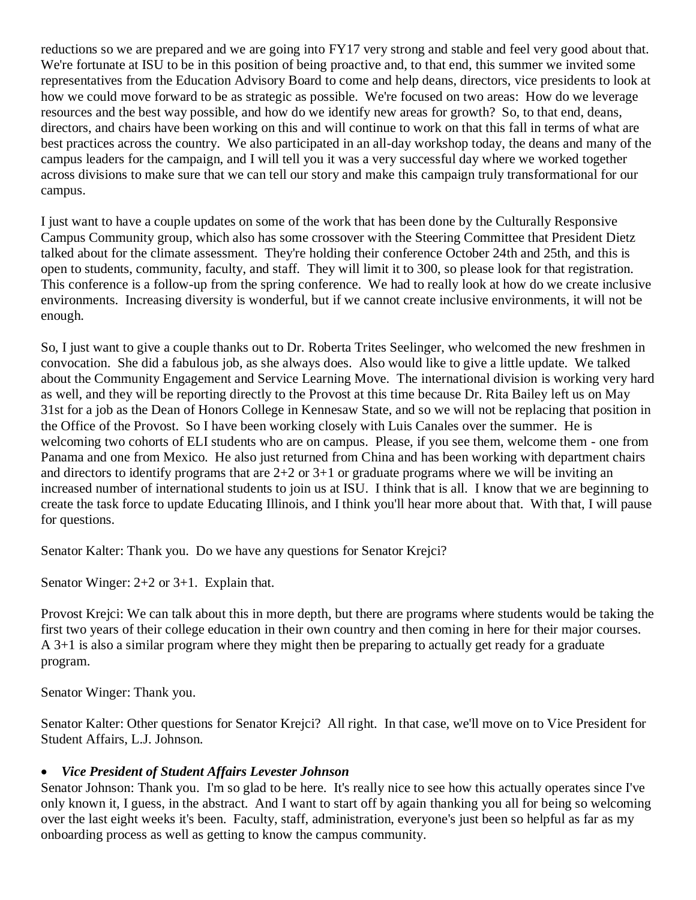reductions so we are prepared and we are going into FY17 very strong and stable and feel very good about that. We're fortunate at ISU to be in this position of being proactive and, to that end, this summer we invited some representatives from the Education Advisory Board to come and help deans, directors, vice presidents to look at how we could move forward to be as strategic as possible. We're focused on two areas: How do we leverage resources and the best way possible, and how do we identify new areas for growth? So, to that end, deans, directors, and chairs have been working on this and will continue to work on that this fall in terms of what are best practices across the country. We also participated in an all-day workshop today, the deans and many of the campus leaders for the campaign, and I will tell you it was a very successful day where we worked together across divisions to make sure that we can tell our story and make this campaign truly transformational for our campus.

I just want to have a couple updates on some of the work that has been done by the Culturally Responsive Campus Community group, which also has some crossover with the Steering Committee that President Dietz talked about for the climate assessment. They're holding their conference October 24th and 25th, and this is open to students, community, faculty, and staff. They will limit it to 300, so please look for that registration. This conference is a follow-up from the spring conference. We had to really look at how do we create inclusive environments. Increasing diversity is wonderful, but if we cannot create inclusive environments, it will not be enough.

So, I just want to give a couple thanks out to Dr. Roberta Trites Seelinger, who welcomed the new freshmen in convocation. She did a fabulous job, as she always does. Also would like to give a little update. We talked about the Community Engagement and Service Learning Move. The international division is working very hard as well, and they will be reporting directly to the Provost at this time because Dr. Rita Bailey left us on May 31st for a job as the Dean of Honors College in Kennesaw State, and so we will not be replacing that position in the Office of the Provost. So I have been working closely with Luis Canales over the summer. He is welcoming two cohorts of ELI students who are on campus. Please, if you see them, welcome them - one from Panama and one from Mexico. He also just returned from China and has been working with department chairs and directors to identify programs that are  $2+2$  or  $3+1$  or graduate programs where we will be inviting an increased number of international students to join us at ISU. I think that is all. I know that we are beginning to create the task force to update Educating Illinois, and I think you'll hear more about that. With that, I will pause for questions.

Senator Kalter: Thank you. Do we have any questions for Senator Krejci?

Senator Winger: 2+2 or 3+1. Explain that.

Provost Krejci: We can talk about this in more depth, but there are programs where students would be taking the first two years of their college education in their own country and then coming in here for their major courses. A 3+1 is also a similar program where they might then be preparing to actually get ready for a graduate program.

Senator Winger: Thank you.

Senator Kalter: Other questions for Senator Krejci? All right. In that case, we'll move on to Vice President for Student Affairs, L.J. Johnson.

#### • *Vice President of Student Affairs Levester Johnson*

Senator Johnson: Thank you. I'm so glad to be here. It's really nice to see how this actually operates since I've only known it, I guess, in the abstract. And I want to start off by again thanking you all for being so welcoming over the last eight weeks it's been. Faculty, staff, administration, everyone's just been so helpful as far as my onboarding process as well as getting to know the campus community.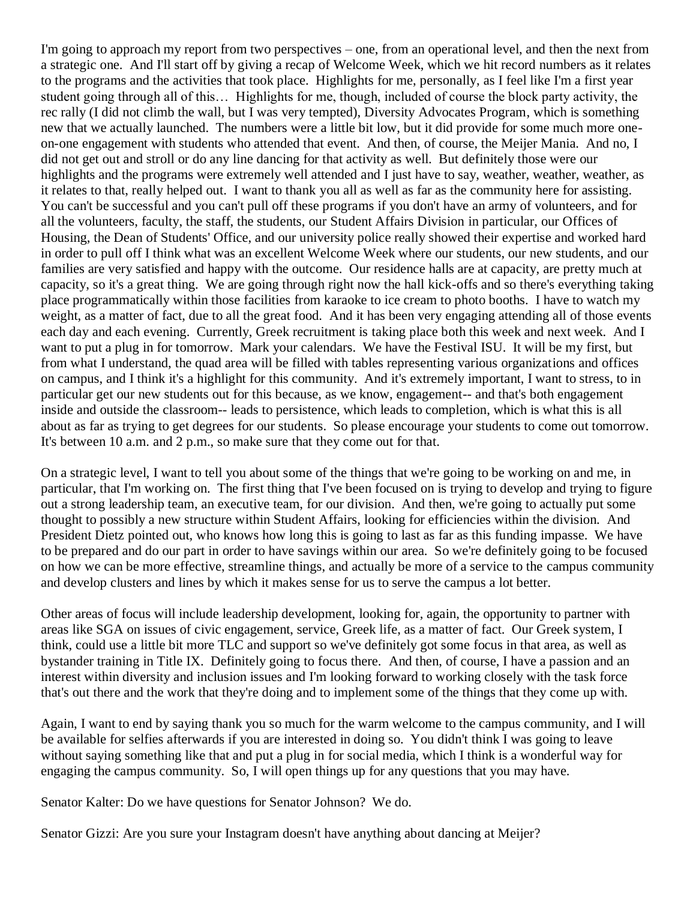I'm going to approach my report from two perspectives – one, from an operational level, and then the next from a strategic one. And I'll start off by giving a recap of Welcome Week, which we hit record numbers as it relates to the programs and the activities that took place. Highlights for me, personally, as I feel like I'm a first year student going through all of this… Highlights for me, though, included of course the block party activity, the rec rally (I did not climb the wall, but I was very tempted), Diversity Advocates Program, which is something new that we actually launched. The numbers were a little bit low, but it did provide for some much more oneon-one engagement with students who attended that event. And then, of course, the Meijer Mania. And no, I did not get out and stroll or do any line dancing for that activity as well. But definitely those were our highlights and the programs were extremely well attended and I just have to say, weather, weather, weather, as it relates to that, really helped out. I want to thank you all as well as far as the community here for assisting. You can't be successful and you can't pull off these programs if you don't have an army of volunteers, and for all the volunteers, faculty, the staff, the students, our Student Affairs Division in particular, our Offices of Housing, the Dean of Students' Office, and our university police really showed their expertise and worked hard in order to pull off I think what was an excellent Welcome Week where our students, our new students, and our families are very satisfied and happy with the outcome. Our residence halls are at capacity, are pretty much at capacity, so it's a great thing. We are going through right now the hall kick-offs and so there's everything taking place programmatically within those facilities from karaoke to ice cream to photo booths. I have to watch my weight, as a matter of fact, due to all the great food. And it has been very engaging attending all of those events each day and each evening. Currently, Greek recruitment is taking place both this week and next week. And I want to put a plug in for tomorrow. Mark your calendars. We have the Festival ISU. It will be my first, but from what I understand, the quad area will be filled with tables representing various organizations and offices on campus, and I think it's a highlight for this community. And it's extremely important, I want to stress, to in particular get our new students out for this because, as we know, engagement-- and that's both engagement inside and outside the classroom-- leads to persistence, which leads to completion, which is what this is all about as far as trying to get degrees for our students. So please encourage your students to come out tomorrow. It's between 10 a.m. and 2 p.m., so make sure that they come out for that.

On a strategic level, I want to tell you about some of the things that we're going to be working on and me, in particular, that I'm working on. The first thing that I've been focused on is trying to develop and trying to figure out a strong leadership team, an executive team, for our division. And then, we're going to actually put some thought to possibly a new structure within Student Affairs, looking for efficiencies within the division. And President Dietz pointed out, who knows how long this is going to last as far as this funding impasse. We have to be prepared and do our part in order to have savings within our area. So we're definitely going to be focused on how we can be more effective, streamline things, and actually be more of a service to the campus community and develop clusters and lines by which it makes sense for us to serve the campus a lot better.

Other areas of focus will include leadership development, looking for, again, the opportunity to partner with areas like SGA on issues of civic engagement, service, Greek life, as a matter of fact. Our Greek system, I think, could use a little bit more TLC and support so we've definitely got some focus in that area, as well as bystander training in Title IX. Definitely going to focus there. And then, of course, I have a passion and an interest within diversity and inclusion issues and I'm looking forward to working closely with the task force that's out there and the work that they're doing and to implement some of the things that they come up with.

Again, I want to end by saying thank you so much for the warm welcome to the campus community, and I will be available for selfies afterwards if you are interested in doing so. You didn't think I was going to leave without saying something like that and put a plug in for social media, which I think is a wonderful way for engaging the campus community. So, I will open things up for any questions that you may have.

Senator Kalter: Do we have questions for Senator Johnson? We do.

Senator Gizzi: Are you sure your Instagram doesn't have anything about dancing at Meijer?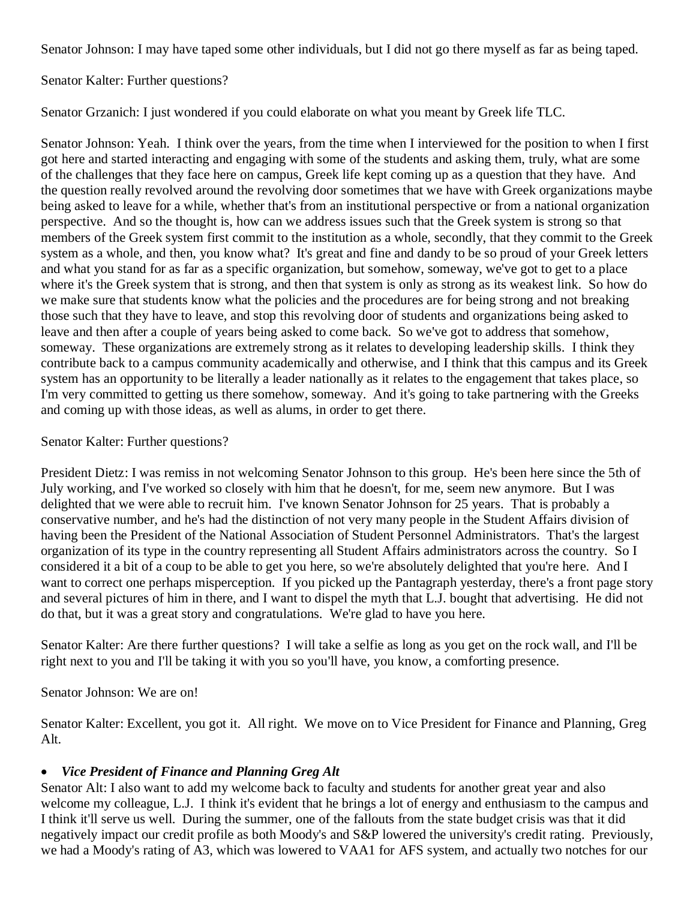Senator Johnson: I may have taped some other individuals, but I did not go there myself as far as being taped.

Senator Kalter: Further questions?

Senator Grzanich: I just wondered if you could elaborate on what you meant by Greek life TLC.

Senator Johnson: Yeah. I think over the years, from the time when I interviewed for the position to when I first got here and started interacting and engaging with some of the students and asking them, truly, what are some of the challenges that they face here on campus, Greek life kept coming up as a question that they have. And the question really revolved around the revolving door sometimes that we have with Greek organizations maybe being asked to leave for a while, whether that's from an institutional perspective or from a national organization perspective. And so the thought is, how can we address issues such that the Greek system is strong so that members of the Greek system first commit to the institution as a whole, secondly, that they commit to the Greek system as a whole, and then, you know what? It's great and fine and dandy to be so proud of your Greek letters and what you stand for as far as a specific organization, but somehow, someway, we've got to get to a place where it's the Greek system that is strong, and then that system is only as strong as its weakest link. So how do we make sure that students know what the policies and the procedures are for being strong and not breaking those such that they have to leave, and stop this revolving door of students and organizations being asked to leave and then after a couple of years being asked to come back. So we've got to address that somehow, someway. These organizations are extremely strong as it relates to developing leadership skills. I think they contribute back to a campus community academically and otherwise, and I think that this campus and its Greek system has an opportunity to be literally a leader nationally as it relates to the engagement that takes place, so I'm very committed to getting us there somehow, someway. And it's going to take partnering with the Greeks and coming up with those ideas, as well as alums, in order to get there.

Senator Kalter: Further questions?

President Dietz: I was remiss in not welcoming Senator Johnson to this group. He's been here since the 5th of July working, and I've worked so closely with him that he doesn't, for me, seem new anymore. But I was delighted that we were able to recruit him. I've known Senator Johnson for 25 years. That is probably a conservative number, and he's had the distinction of not very many people in the Student Affairs division of having been the President of the National Association of Student Personnel Administrators. That's the largest organization of its type in the country representing all Student Affairs administrators across the country. So I considered it a bit of a coup to be able to get you here, so we're absolutely delighted that you're here. And I want to correct one perhaps misperception. If you picked up the Pantagraph yesterday, there's a front page story and several pictures of him in there, and I want to dispel the myth that L.J. bought that advertising. He did not do that, but it was a great story and congratulations. We're glad to have you here.

Senator Kalter: Are there further questions? I will take a selfie as long as you get on the rock wall, and I'll be right next to you and I'll be taking it with you so you'll have, you know, a comforting presence.

Senator Johnson: We are on!

Senator Kalter: Excellent, you got it. All right. We move on to Vice President for Finance and Planning, Greg Alt.

### • *Vice President of Finance and Planning Greg Alt*

Senator Alt: I also want to add my welcome back to faculty and students for another great year and also welcome my colleague, L.J. I think it's evident that he brings a lot of energy and enthusiasm to the campus and I think it'll serve us well. During the summer, one of the fallouts from the state budget crisis was that it did negatively impact our credit profile as both Moody's and S&P lowered the university's credit rating. Previously, we had a Moody's rating of A3, which was lowered to VAA1 for AFS system, and actually two notches for our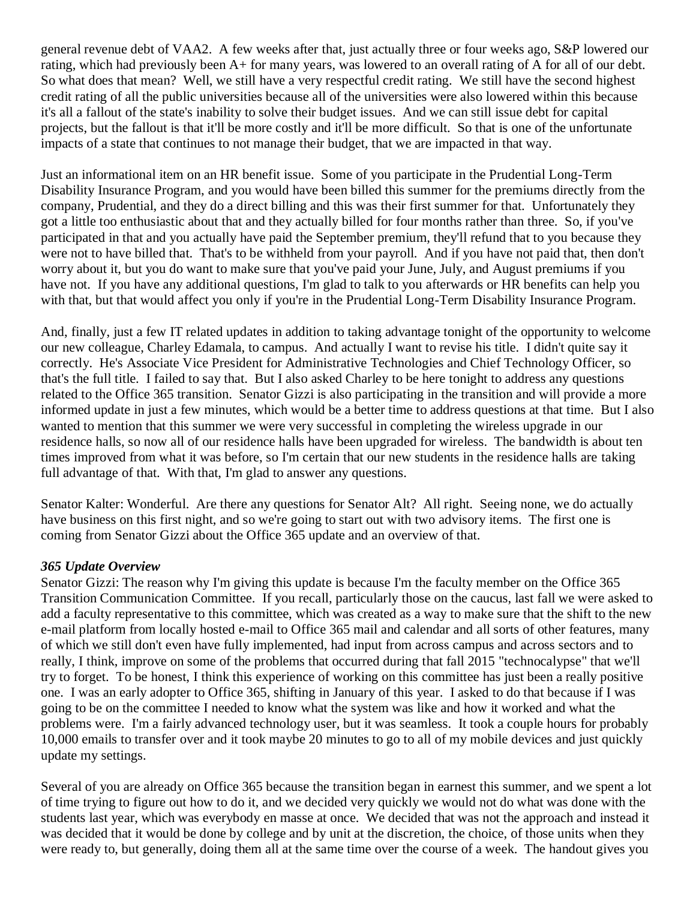general revenue debt of VAA2. A few weeks after that, just actually three or four weeks ago, S&P lowered our rating, which had previously been A+ for many years, was lowered to an overall rating of A for all of our debt. So what does that mean? Well, we still have a very respectful credit rating. We still have the second highest credit rating of all the public universities because all of the universities were also lowered within this because it's all a fallout of the state's inability to solve their budget issues. And we can still issue debt for capital projects, but the fallout is that it'll be more costly and it'll be more difficult. So that is one of the unfortunate impacts of a state that continues to not manage their budget, that we are impacted in that way.

Just an informational item on an HR benefit issue. Some of you participate in the Prudential Long-Term Disability Insurance Program, and you would have been billed this summer for the premiums directly from the company, Prudential, and they do a direct billing and this was their first summer for that. Unfortunately they got a little too enthusiastic about that and they actually billed for four months rather than three. So, if you've participated in that and you actually have paid the September premium, they'll refund that to you because they were not to have billed that. That's to be withheld from your payroll. And if you have not paid that, then don't worry about it, but you do want to make sure that you've paid your June, July, and August premiums if you have not. If you have any additional questions, I'm glad to talk to you afterwards or HR benefits can help you with that, but that would affect you only if you're in the Prudential Long-Term Disability Insurance Program.

And, finally, just a few IT related updates in addition to taking advantage tonight of the opportunity to welcome our new colleague, Charley Edamala, to campus. And actually I want to revise his title. I didn't quite say it correctly. He's Associate Vice President for Administrative Technologies and Chief Technology Officer, so that's the full title. I failed to say that. But I also asked Charley to be here tonight to address any questions related to the Office 365 transition. Senator Gizzi is also participating in the transition and will provide a more informed update in just a few minutes, which would be a better time to address questions at that time. But I also wanted to mention that this summer we were very successful in completing the wireless upgrade in our residence halls, so now all of our residence halls have been upgraded for wireless. The bandwidth is about ten times improved from what it was before, so I'm certain that our new students in the residence halls are taking full advantage of that. With that, I'm glad to answer any questions.

Senator Kalter: Wonderful. Are there any questions for Senator Alt? All right. Seeing none, we do actually have business on this first night, and so we're going to start out with two advisory items. The first one is coming from Senator Gizzi about the Office 365 update and an overview of that.

#### *365 Update Overview*

Senator Gizzi: The reason why I'm giving this update is because I'm the faculty member on the Office 365 Transition Communication Committee. If you recall, particularly those on the caucus, last fall we were asked to add a faculty representative to this committee, which was created as a way to make sure that the shift to the new e-mail platform from locally hosted e-mail to Office 365 mail and calendar and all sorts of other features, many of which we still don't even have fully implemented, had input from across campus and across sectors and to really, I think, improve on some of the problems that occurred during that fall 2015 "technocalypse" that we'll try to forget. To be honest, I think this experience of working on this committee has just been a really positive one. I was an early adopter to Office 365, shifting in January of this year. I asked to do that because if I was going to be on the committee I needed to know what the system was like and how it worked and what the problems were. I'm a fairly advanced technology user, but it was seamless. It took a couple hours for probably 10,000 emails to transfer over and it took maybe 20 minutes to go to all of my mobile devices and just quickly update my settings.

Several of you are already on Office 365 because the transition began in earnest this summer, and we spent a lot of time trying to figure out how to do it, and we decided very quickly we would not do what was done with the students last year, which was everybody en masse at once. We decided that was not the approach and instead it was decided that it would be done by college and by unit at the discretion, the choice, of those units when they were ready to, but generally, doing them all at the same time over the course of a week. The handout gives you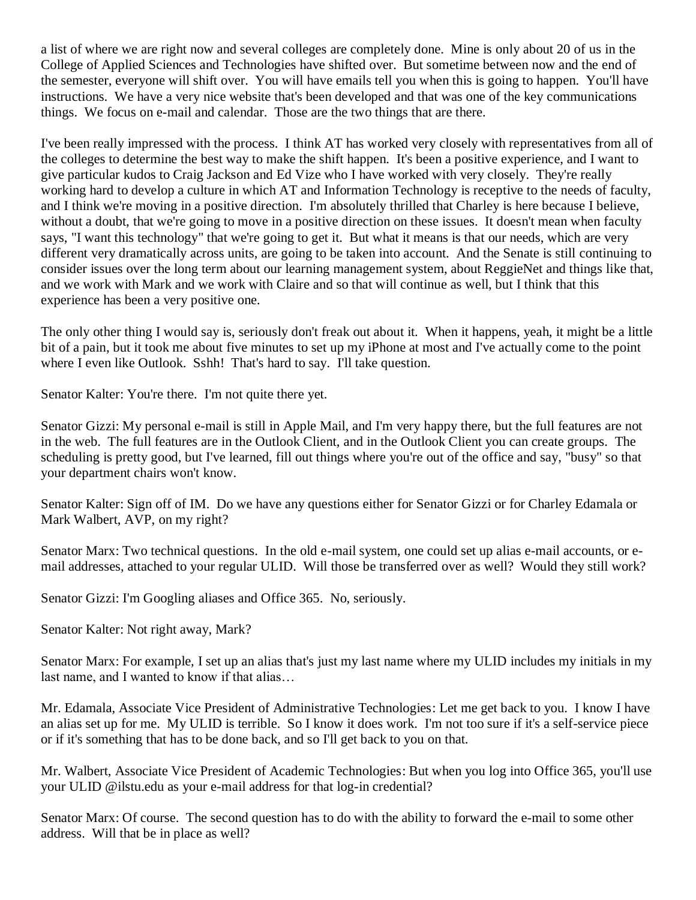a list of where we are right now and several colleges are completely done. Mine is only about 20 of us in the College of Applied Sciences and Technologies have shifted over. But sometime between now and the end of the semester, everyone will shift over. You will have emails tell you when this is going to happen. You'll have instructions. We have a very nice website that's been developed and that was one of the key communications things. We focus on e-mail and calendar. Those are the two things that are there.

I've been really impressed with the process. I think AT has worked very closely with representatives from all of the colleges to determine the best way to make the shift happen. It's been a positive experience, and I want to give particular kudos to Craig Jackson and Ed Vize who I have worked with very closely. They're really working hard to develop a culture in which AT and Information Technology is receptive to the needs of faculty, and I think we're moving in a positive direction. I'm absolutely thrilled that Charley is here because I believe, without a doubt, that we're going to move in a positive direction on these issues. It doesn't mean when faculty says, "I want this technology" that we're going to get it. But what it means is that our needs, which are very different very dramatically across units, are going to be taken into account. And the Senate is still continuing to consider issues over the long term about our learning management system, about ReggieNet and things like that, and we work with Mark and we work with Claire and so that will continue as well, but I think that this experience has been a very positive one.

The only other thing I would say is, seriously don't freak out about it. When it happens, yeah, it might be a little bit of a pain, but it took me about five minutes to set up my iPhone at most and I've actually come to the point where I even like Outlook. Sshh! That's hard to say. I'll take question.

Senator Kalter: You're there. I'm not quite there yet.

Senator Gizzi: My personal e-mail is still in Apple Mail, and I'm very happy there, but the full features are not in the web. The full features are in the Outlook Client, and in the Outlook Client you can create groups. The scheduling is pretty good, but I've learned, fill out things where you're out of the office and say, "busy" so that your department chairs won't know.

Senator Kalter: Sign off of IM. Do we have any questions either for Senator Gizzi or for Charley Edamala or Mark Walbert, AVP, on my right?

Senator Marx: Two technical questions. In the old e-mail system, one could set up alias e-mail accounts, or email addresses, attached to your regular ULID. Will those be transferred over as well? Would they still work?

Senator Gizzi: I'm Googling aliases and Office 365. No, seriously.

Senator Kalter: Not right away, Mark?

Senator Marx: For example, I set up an alias that's just my last name where my ULID includes my initials in my last name, and I wanted to know if that alias…

Mr. Edamala, Associate Vice President of Administrative Technologies: Let me get back to you. I know I have an alias set up for me. My ULID is terrible. So I know it does work. I'm not too sure if it's a self-service piece or if it's something that has to be done back, and so I'll get back to you on that.

Mr. Walbert, Associate Vice President of Academic Technologies: But when you log into Office 365, you'll use your ULID @ilstu.edu as your e-mail address for that log-in credential?

Senator Marx: Of course. The second question has to do with the ability to forward the e-mail to some other address. Will that be in place as well?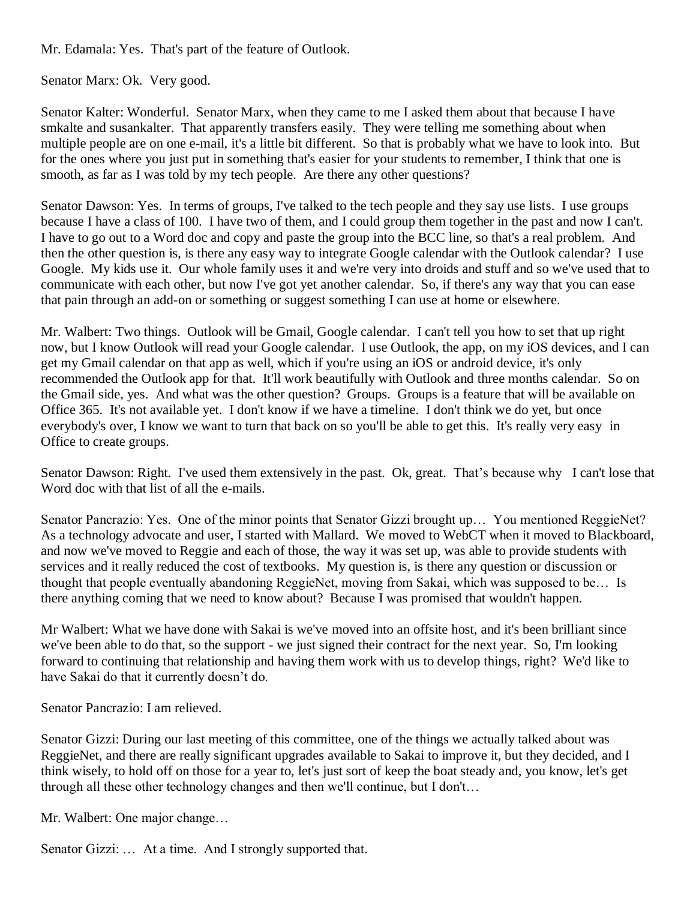Mr. Edamala: Yes. That's part of the feature of Outlook.

Senator Marx: Ok. Very good.

Senator Kalter: Wonderful. Senator Marx, when they came to me I asked them about that because I have smkalte and susankalter. That apparently transfers easily. They were telling me something about when multiple people are on one e-mail, it's a little bit different. So that is probably what we have to look into. But for the ones where you just put in something that's easier for your students to remember, I think that one is smooth, as far as I was told by my tech people. Are there any other questions?

Senator Dawson: Yes. In terms of groups, I've talked to the tech people and they say use lists. I use groups because I have a class of 100. I have two of them, and I could group them together in the past and now I can't. I have to go out to a Word doc and copy and paste the group into the BCC line, so that's a real problem. And then the other question is, is there any easy way to integrate Google calendar with the Outlook calendar? I use Google. My kids use it. Our whole family uses it and we're very into droids and stuff and so we've used that to communicate with each other, but now I've got yet another calendar. So, if there's any way that you can ease that pain through an add-on or something or suggest something I can use at home or elsewhere.

Mr. Walbert: Two things. Outlook will be Gmail, Google calendar. I can't tell you how to set that up right now, but I know Outlook will read your Google calendar. I use Outlook, the app, on my iOS devices, and I can get my Gmail calendar on that app as well, which if you're using an iOS or android device, it's only recommended the Outlook app for that. It'll work beautifully with Outlook and three months calendar. So on the Gmail side, yes. And what was the other question? Groups. Groups is a feature that will be available on Office 365. It's not available yet. I don't know if we have a timeline. I don't think we do yet, but once everybody's over, I know we want to turn that back on so you'll be able to get this. It's really very easy in Office to create groups.

Senator Dawson: Right. I've used them extensively in the past. Ok, great. That's because why I can't lose that Word doc with that list of all the e-mails.

Senator Pancrazio: Yes. One of the minor points that Senator Gizzi brought up… You mentioned ReggieNet? As a technology advocate and user, I started with Mallard. We moved to WebCT when it moved to Blackboard, and now we've moved to Reggie and each of those, the way it was set up, was able to provide students with services and it really reduced the cost of textbooks. My question is, is there any question or discussion or thought that people eventually abandoning ReggieNet, moving from Sakai, which was supposed to be… Is there anything coming that we need to know about? Because I was promised that wouldn't happen.

Mr Walbert: What we have done with Sakai is we've moved into an offsite host, and it's been brilliant since we've been able to do that, so the support - we just signed their contract for the next year. So, I'm looking forward to continuing that relationship and having them work with us to develop things, right? We'd like to have Sakai do that it currently doesn't do.

Senator Pancrazio: I am relieved.

Senator Gizzi: During our last meeting of this committee, one of the things we actually talked about was ReggieNet, and there are really significant upgrades available to Sakai to improve it, but they decided, and I think wisely, to hold off on those for a year to, let's just sort of keep the boat steady and, you know, let's get through all these other technology changes and then we'll continue, but I don't…

Mr. Walbert: One major change…

Senator Gizzi: ... At a time. And I strongly supported that.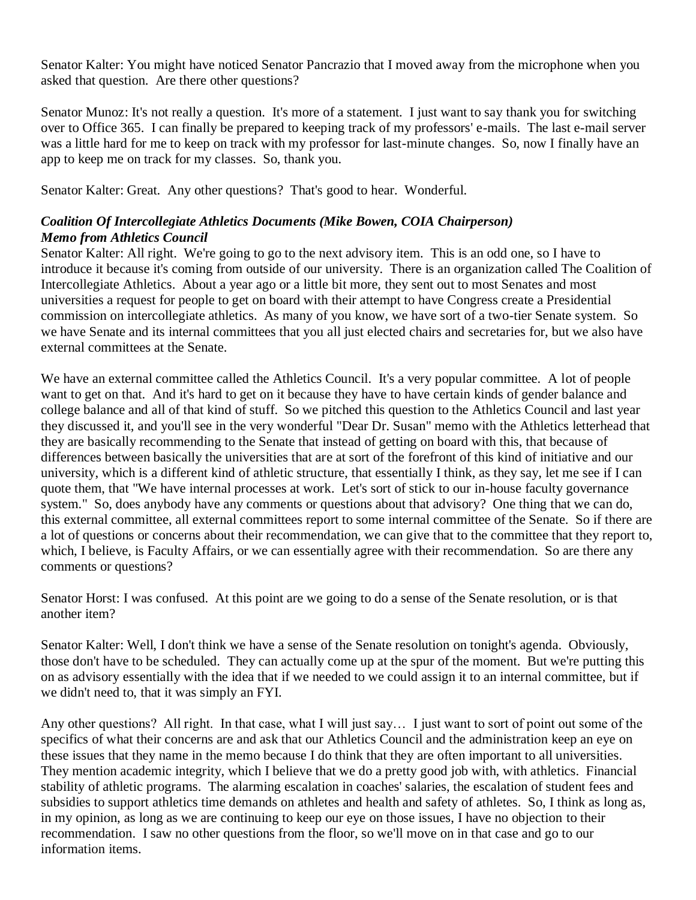Senator Kalter: You might have noticed Senator Pancrazio that I moved away from the microphone when you asked that question. Are there other questions?

Senator Munoz: It's not really a question. It's more of a statement. I just want to say thank you for switching over to Office 365. I can finally be prepared to keeping track of my professors' e-mails. The last e-mail server was a little hard for me to keep on track with my professor for last-minute changes. So, now I finally have an app to keep me on track for my classes. So, thank you.

Senator Kalter: Great. Any other questions? That's good to hear. Wonderful.

### *Coalition Of Intercollegiate Athletics Documents (Mike Bowen, COIA Chairperson) Memo from Athletics Council*

Senator Kalter: All right. We're going to go to the next advisory item. This is an odd one, so I have to introduce it because it's coming from outside of our university. There is an organization called The Coalition of Intercollegiate Athletics. About a year ago or a little bit more, they sent out to most Senates and most universities a request for people to get on board with their attempt to have Congress create a Presidential commission on intercollegiate athletics. As many of you know, we have sort of a two-tier Senate system. So we have Senate and its internal committees that you all just elected chairs and secretaries for, but we also have external committees at the Senate.

We have an external committee called the Athletics Council. It's a very popular committee. A lot of people want to get on that. And it's hard to get on it because they have to have certain kinds of gender balance and college balance and all of that kind of stuff. So we pitched this question to the Athletics Council and last year they discussed it, and you'll see in the very wonderful "Dear Dr. Susan" memo with the Athletics letterhead that they are basically recommending to the Senate that instead of getting on board with this, that because of differences between basically the universities that are at sort of the forefront of this kind of initiative and our university, which is a different kind of athletic structure, that essentially I think, as they say, let me see if I can quote them, that "We have internal processes at work. Let's sort of stick to our in-house faculty governance system." So, does anybody have any comments or questions about that advisory? One thing that we can do, this external committee, all external committees report to some internal committee of the Senate. So if there are a lot of questions or concerns about their recommendation, we can give that to the committee that they report to, which, I believe, is Faculty Affairs, or we can essentially agree with their recommendation. So are there any comments or questions?

Senator Horst: I was confused. At this point are we going to do a sense of the Senate resolution, or is that another item?

Senator Kalter: Well, I don't think we have a sense of the Senate resolution on tonight's agenda. Obviously, those don't have to be scheduled. They can actually come up at the spur of the moment. But we're putting this on as advisory essentially with the idea that if we needed to we could assign it to an internal committee, but if we didn't need to, that it was simply an FYI.

Any other questions? All right. In that case, what I will just say… I just want to sort of point out some of the specifics of what their concerns are and ask that our Athletics Council and the administration keep an eye on these issues that they name in the memo because I do think that they are often important to all universities. They mention academic integrity, which I believe that we do a pretty good job with, with athletics. Financial stability of athletic programs. The alarming escalation in coaches' salaries, the escalation of student fees and subsidies to support athletics time demands on athletes and health and safety of athletes. So, I think as long as, in my opinion, as long as we are continuing to keep our eye on those issues, I have no objection to their recommendation. I saw no other questions from the floor, so we'll move on in that case and go to our information items.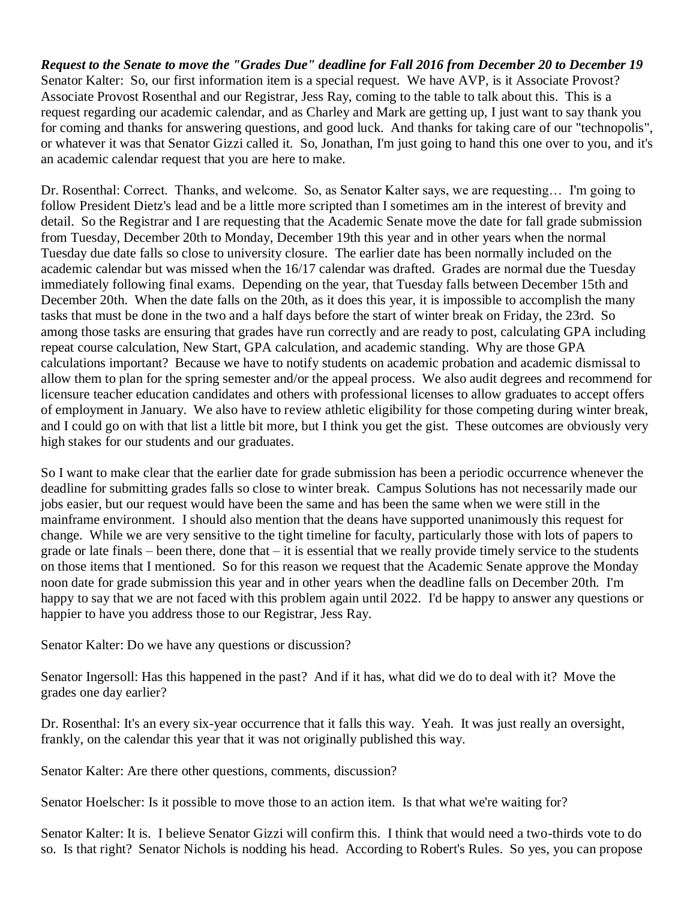*Request to the Senate to move the "Grades Due" deadline for Fall 2016 from December 20 to December 19* Senator Kalter: So, our first information item is a special request. We have AVP, is it Associate Provost? Associate Provost Rosenthal and our Registrar, Jess Ray, coming to the table to talk about this. This is a request regarding our academic calendar, and as Charley and Mark are getting up, I just want to say thank you for coming and thanks for answering questions, and good luck. And thanks for taking care of our "technopolis", or whatever it was that Senator Gizzi called it. So, Jonathan, I'm just going to hand this one over to you, and it's an academic calendar request that you are here to make.

Dr. Rosenthal: Correct. Thanks, and welcome. So, as Senator Kalter says, we are requesting… I'm going to follow President Dietz's lead and be a little more scripted than I sometimes am in the interest of brevity and detail. So the Registrar and I are requesting that the Academic Senate move the date for fall grade submission from Tuesday, December 20th to Monday, December 19th this year and in other years when the normal Tuesday due date falls so close to university closure. The earlier date has been normally included on the academic calendar but was missed when the 16/17 calendar was drafted. Grades are normal due the Tuesday immediately following final exams. Depending on the year, that Tuesday falls between December 15th and December 20th. When the date falls on the 20th, as it does this year, it is impossible to accomplish the many tasks that must be done in the two and a half days before the start of winter break on Friday, the 23rd. So among those tasks are ensuring that grades have run correctly and are ready to post, calculating GPA including repeat course calculation, New Start, GPA calculation, and academic standing. Why are those GPA calculations important? Because we have to notify students on academic probation and academic dismissal to allow them to plan for the spring semester and/or the appeal process. We also audit degrees and recommend for licensure teacher education candidates and others with professional licenses to allow graduates to accept offers of employment in January. We also have to review athletic eligibility for those competing during winter break, and I could go on with that list a little bit more, but I think you get the gist. These outcomes are obviously very high stakes for our students and our graduates.

So I want to make clear that the earlier date for grade submission has been a periodic occurrence whenever the deadline for submitting grades falls so close to winter break. Campus Solutions has not necessarily made our jobs easier, but our request would have been the same and has been the same when we were still in the mainframe environment. I should also mention that the deans have supported unanimously this request for change. While we are very sensitive to the tight timeline for faculty, particularly those with lots of papers to grade or late finals – been there, done that – it is essential that we really provide timely service to the students on those items that I mentioned. So for this reason we request that the Academic Senate approve the Monday noon date for grade submission this year and in other years when the deadline falls on December 20th. I'm happy to say that we are not faced with this problem again until 2022. I'd be happy to answer any questions or happier to have you address those to our Registrar, Jess Ray.

Senator Kalter: Do we have any questions or discussion?

Senator Ingersoll: Has this happened in the past? And if it has, what did we do to deal with it? Move the grades one day earlier?

Dr. Rosenthal: It's an every six-year occurrence that it falls this way. Yeah. It was just really an oversight, frankly, on the calendar this year that it was not originally published this way.

Senator Kalter: Are there other questions, comments, discussion?

Senator Hoelscher: Is it possible to move those to an action item. Is that what we're waiting for?

Senator Kalter: It is. I believe Senator Gizzi will confirm this. I think that would need a two-thirds vote to do so. Is that right? Senator Nichols is nodding his head. According to Robert's Rules. So yes, you can propose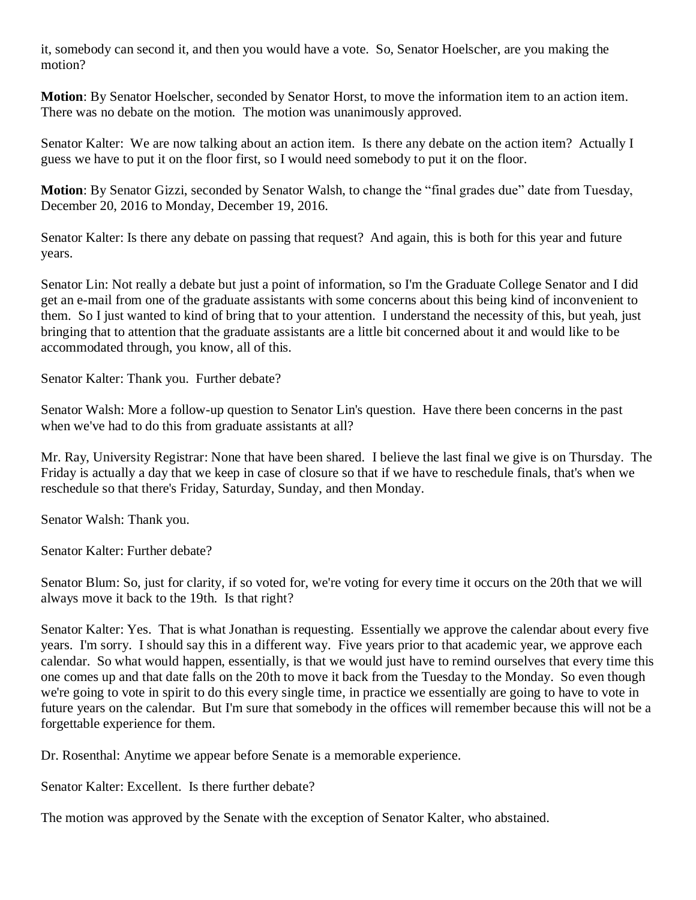it, somebody can second it, and then you would have a vote. So, Senator Hoelscher, are you making the motion?

**Motion**: By Senator Hoelscher, seconded by Senator Horst, to move the information item to an action item. There was no debate on the motion. The motion was unanimously approved.

Senator Kalter: We are now talking about an action item. Is there any debate on the action item? Actually I guess we have to put it on the floor first, so I would need somebody to put it on the floor.

**Motion**: By Senator Gizzi, seconded by Senator Walsh, to change the "final grades due" date from Tuesday, December 20, 2016 to Monday, December 19, 2016.

Senator Kalter: Is there any debate on passing that request? And again, this is both for this year and future years.

Senator Lin: Not really a debate but just a point of information, so I'm the Graduate College Senator and I did get an e-mail from one of the graduate assistants with some concerns about this being kind of inconvenient to them. So I just wanted to kind of bring that to your attention. I understand the necessity of this, but yeah, just bringing that to attention that the graduate assistants are a little bit concerned about it and would like to be accommodated through, you know, all of this.

Senator Kalter: Thank you. Further debate?

Senator Walsh: More a follow-up question to Senator Lin's question. Have there been concerns in the past when we've had to do this from graduate assistants at all?

Mr. Ray, University Registrar: None that have been shared. I believe the last final we give is on Thursday. The Friday is actually a day that we keep in case of closure so that if we have to reschedule finals, that's when we reschedule so that there's Friday, Saturday, Sunday, and then Monday.

Senator Walsh: Thank you.

Senator Kalter: Further debate?

Senator Blum: So, just for clarity, if so voted for, we're voting for every time it occurs on the 20th that we will always move it back to the 19th. Is that right?

Senator Kalter: Yes. That is what Jonathan is requesting. Essentially we approve the calendar about every five years. I'm sorry. I should say this in a different way. Five years prior to that academic year, we approve each calendar. So what would happen, essentially, is that we would just have to remind ourselves that every time this one comes up and that date falls on the 20th to move it back from the Tuesday to the Monday. So even though we're going to vote in spirit to do this every single time, in practice we essentially are going to have to vote in future years on the calendar. But I'm sure that somebody in the offices will remember because this will not be a forgettable experience for them.

Dr. Rosenthal: Anytime we appear before Senate is a memorable experience.

Senator Kalter: Excellent. Is there further debate?

The motion was approved by the Senate with the exception of Senator Kalter, who abstained.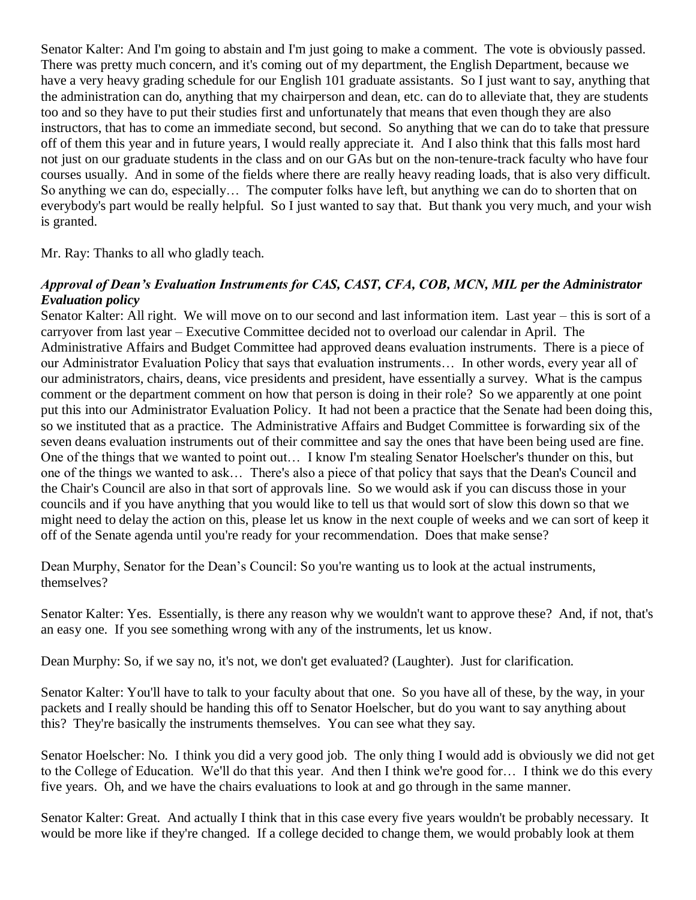Senator Kalter: And I'm going to abstain and I'm just going to make a comment. The vote is obviously passed. There was pretty much concern, and it's coming out of my department, the English Department, because we have a very heavy grading schedule for our English 101 graduate assistants. So I just want to say, anything that the administration can do, anything that my chairperson and dean, etc. can do to alleviate that, they are students too and so they have to put their studies first and unfortunately that means that even though they are also instructors, that has to come an immediate second, but second. So anything that we can do to take that pressure off of them this year and in future years, I would really appreciate it. And I also think that this falls most hard not just on our graduate students in the class and on our GAs but on the non-tenure-track faculty who have four courses usually. And in some of the fields where there are really heavy reading loads, that is also very difficult. So anything we can do, especially… The computer folks have left, but anything we can do to shorten that on everybody's part would be really helpful. So I just wanted to say that. But thank you very much, and your wish is granted.

Mr. Ray: Thanks to all who gladly teach.

#### *Approval of Dean's Evaluation Instruments for CAS, CAST, CFA, COB, MCN, MIL per the Administrator Evaluation policy*

Senator Kalter: All right. We will move on to our second and last information item. Last year – this is sort of a carryover from last year – Executive Committee decided not to overload our calendar in April. The Administrative Affairs and Budget Committee had approved deans evaluation instruments. There is a piece of our Administrator Evaluation Policy that says that evaluation instruments… In other words, every year all of our administrators, chairs, deans, vice presidents and president, have essentially a survey. What is the campus comment or the department comment on how that person is doing in their role? So we apparently at one point put this into our Administrator Evaluation Policy. It had not been a practice that the Senate had been doing this, so we instituted that as a practice. The Administrative Affairs and Budget Committee is forwarding six of the seven deans evaluation instruments out of their committee and say the ones that have been being used are fine. One of the things that we wanted to point out… I know I'm stealing Senator Hoelscher's thunder on this, but one of the things we wanted to ask… There's also a piece of that policy that says that the Dean's Council and the Chair's Council are also in that sort of approvals line. So we would ask if you can discuss those in your councils and if you have anything that you would like to tell us that would sort of slow this down so that we might need to delay the action on this, please let us know in the next couple of weeks and we can sort of keep it off of the Senate agenda until you're ready for your recommendation. Does that make sense?

Dean Murphy, Senator for the Dean's Council: So you're wanting us to look at the actual instruments, themselves?

Senator Kalter: Yes. Essentially, is there any reason why we wouldn't want to approve these? And, if not, that's an easy one. If you see something wrong with any of the instruments, let us know.

Dean Murphy: So, if we say no, it's not, we don't get evaluated? (Laughter). Just for clarification.

Senator Kalter: You'll have to talk to your faculty about that one. So you have all of these, by the way, in your packets and I really should be handing this off to Senator Hoelscher, but do you want to say anything about this? They're basically the instruments themselves. You can see what they say.

Senator Hoelscher: No. I think you did a very good job. The only thing I would add is obviously we did not get to the College of Education. We'll do that this year. And then I think we're good for… I think we do this every five years. Oh, and we have the chairs evaluations to look at and go through in the same manner.

Senator Kalter: Great. And actually I think that in this case every five years wouldn't be probably necessary. It would be more like if they're changed. If a college decided to change them, we would probably look at them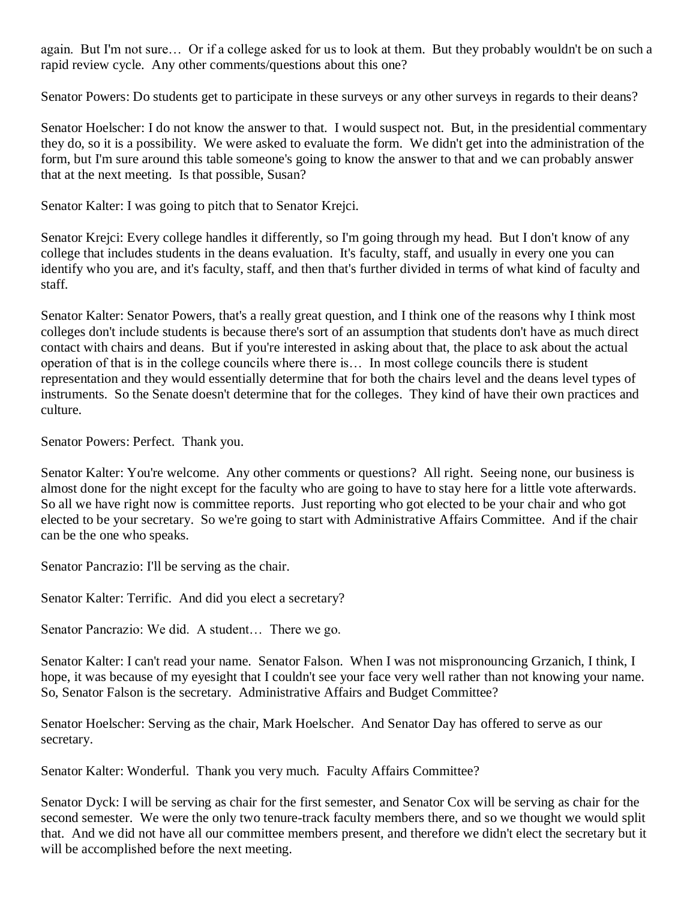again. But I'm not sure… Or if a college asked for us to look at them. But they probably wouldn't be on such a rapid review cycle. Any other comments/questions about this one?

Senator Powers: Do students get to participate in these surveys or any other surveys in regards to their deans?

Senator Hoelscher: I do not know the answer to that. I would suspect not. But, in the presidential commentary they do, so it is a possibility. We were asked to evaluate the form. We didn't get into the administration of the form, but I'm sure around this table someone's going to know the answer to that and we can probably answer that at the next meeting. Is that possible, Susan?

Senator Kalter: I was going to pitch that to Senator Krejci.

Senator Krejci: Every college handles it differently, so I'm going through my head. But I don't know of any college that includes students in the deans evaluation. It's faculty, staff, and usually in every one you can identify who you are, and it's faculty, staff, and then that's further divided in terms of what kind of faculty and staff.

Senator Kalter: Senator Powers, that's a really great question, and I think one of the reasons why I think most colleges don't include students is because there's sort of an assumption that students don't have as much direct contact with chairs and deans. But if you're interested in asking about that, the place to ask about the actual operation of that is in the college councils where there is… In most college councils there is student representation and they would essentially determine that for both the chairs level and the deans level types of instruments. So the Senate doesn't determine that for the colleges. They kind of have their own practices and culture.

Senator Powers: Perfect. Thank you.

Senator Kalter: You're welcome. Any other comments or questions? All right. Seeing none, our business is almost done for the night except for the faculty who are going to have to stay here for a little vote afterwards. So all we have right now is committee reports. Just reporting who got elected to be your chair and who got elected to be your secretary. So we're going to start with Administrative Affairs Committee. And if the chair can be the one who speaks.

Senator Pancrazio: I'll be serving as the chair.

Senator Kalter: Terrific. And did you elect a secretary?

Senator Pancrazio: We did. A student… There we go.

Senator Kalter: I can't read your name. Senator Falson. When I was not mispronouncing Grzanich, I think, I hope, it was because of my eyesight that I couldn't see your face very well rather than not knowing your name. So, Senator Falson is the secretary. Administrative Affairs and Budget Committee?

Senator Hoelscher: Serving as the chair, Mark Hoelscher. And Senator Day has offered to serve as our secretary.

Senator Kalter: Wonderful. Thank you very much. Faculty Affairs Committee?

Senator Dyck: I will be serving as chair for the first semester, and Senator Cox will be serving as chair for the second semester. We were the only two tenure-track faculty members there, and so we thought we would split that. And we did not have all our committee members present, and therefore we didn't elect the secretary but it will be accomplished before the next meeting.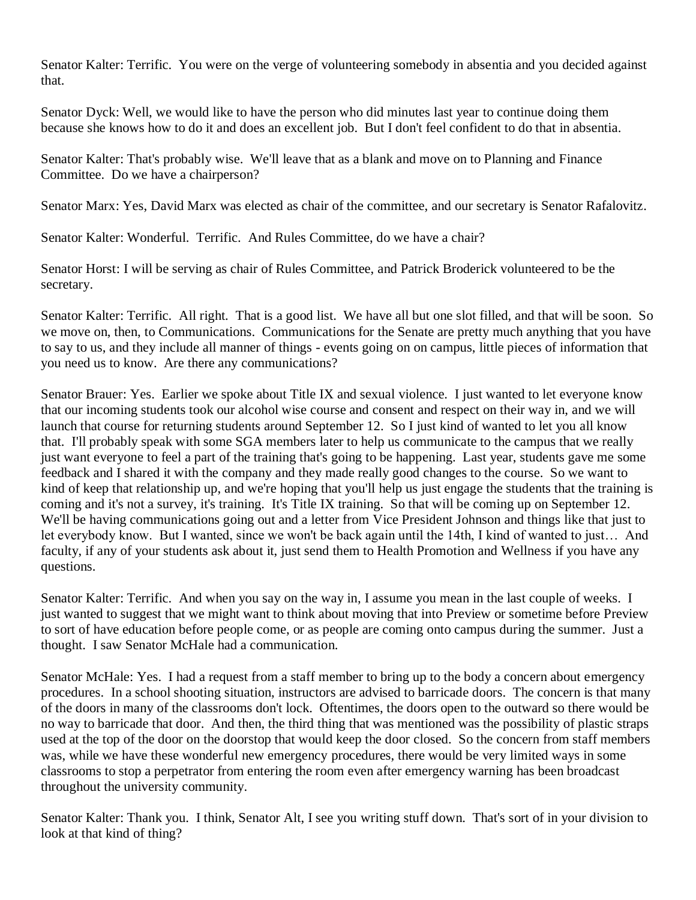Senator Kalter: Terrific. You were on the verge of volunteering somebody in absentia and you decided against that.

Senator Dyck: Well, we would like to have the person who did minutes last year to continue doing them because she knows how to do it and does an excellent job. But I don't feel confident to do that in absentia.

Senator Kalter: That's probably wise. We'll leave that as a blank and move on to Planning and Finance Committee. Do we have a chairperson?

Senator Marx: Yes, David Marx was elected as chair of the committee, and our secretary is Senator Rafalovitz.

Senator Kalter: Wonderful. Terrific. And Rules Committee, do we have a chair?

Senator Horst: I will be serving as chair of Rules Committee, and Patrick Broderick volunteered to be the secretary.

Senator Kalter: Terrific. All right. That is a good list. We have all but one slot filled, and that will be soon. So we move on, then, to Communications. Communications for the Senate are pretty much anything that you have to say to us, and they include all manner of things - events going on on campus, little pieces of information that you need us to know. Are there any communications?

Senator Brauer: Yes. Earlier we spoke about Title IX and sexual violence. I just wanted to let everyone know that our incoming students took our alcohol wise course and consent and respect on their way in, and we will launch that course for returning students around September 12. So I just kind of wanted to let you all know that. I'll probably speak with some SGA members later to help us communicate to the campus that we really just want everyone to feel a part of the training that's going to be happening. Last year, students gave me some feedback and I shared it with the company and they made really good changes to the course. So we want to kind of keep that relationship up, and we're hoping that you'll help us just engage the students that the training is coming and it's not a survey, it's training. It's Title IX training. So that will be coming up on September 12. We'll be having communications going out and a letter from Vice President Johnson and things like that just to let everybody know. But I wanted, since we won't be back again until the 14th, I kind of wanted to just… And faculty, if any of your students ask about it, just send them to Health Promotion and Wellness if you have any questions.

Senator Kalter: Terrific. And when you say on the way in, I assume you mean in the last couple of weeks. I just wanted to suggest that we might want to think about moving that into Preview or sometime before Preview to sort of have education before people come, or as people are coming onto campus during the summer. Just a thought. I saw Senator McHale had a communication.

Senator McHale: Yes. I had a request from a staff member to bring up to the body a concern about emergency procedures. In a school shooting situation, instructors are advised to barricade doors. The concern is that many of the doors in many of the classrooms don't lock. Oftentimes, the doors open to the outward so there would be no way to barricade that door. And then, the third thing that was mentioned was the possibility of plastic straps used at the top of the door on the doorstop that would keep the door closed. So the concern from staff members was, while we have these wonderful new emergency procedures, there would be very limited ways in some classrooms to stop a perpetrator from entering the room even after emergency warning has been broadcast throughout the university community.

Senator Kalter: Thank you. I think, Senator Alt, I see you writing stuff down. That's sort of in your division to look at that kind of thing?